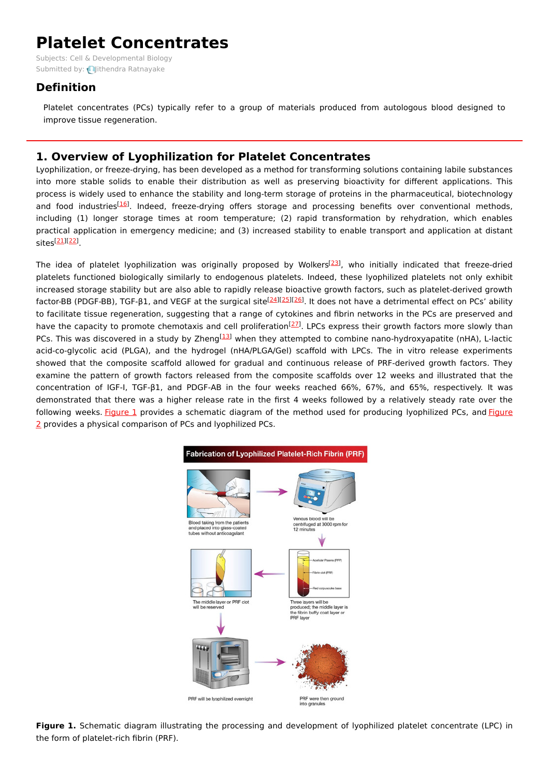# **Platelet Concentrates**

Subjects: Cell & [Developmental](https://encyclopedia.pub/item/subject/54) Biology Submitted by: *Jithendra [Ratnayake](https://sciprofiles.com/profile/1153990)* 

## **Definition**

Platelet concentrates (PCs) typically refer to a group of materials produced from autologous blood designed to improve tissue regeneration.

## **1. Overview of Lyophilization for Platelet Concentrates**

Lyophilization, or freeze-drying, has been developed as a method for transforming solutions containing labile substances into more stable solids to enable their distribution as well as preserving bioactivity for different applications. This process is widely used to enhance the stability and long-term storage of proteins in the pharmaceutical, biotechnology and food industries<sup>[\[16](#page-6-0)]</sup>. Indeed, freeze-drying offers storage and processing benefits over conventional methods, including (1) longer storage times at room temperature; (2) rapid transformation by rehydration, which enables practical application in emergency medicine; and (3) increased stability to enable transport and application at distant sites <sup>[\[21](#page-6-1)][\[22](#page-6-2)]</sup>.

The idea of platelet lyophilization was originally proposed by Wolkers<sup>[\[23](#page-6-3)]</sup>, who initially indicated that freeze-dried platelets functioned biologically similarly to endogenous platelets. Indeed, these lyophilized platelets not only exhibit increased storage stability but are also able to rapidly release bioactive growth factors, such as platelet-derived growth factor-BB (PDGF-BB), TGF-β1, and VEGF at the surgical site<sup>[\[24](#page-6-4)][\[25](#page-6-5)][[26](#page-6-6)]</sup>. It does not have a detrimental effect on PCs' ability to facilitate tissue regeneration, suggesting that a range of cytokines and fibrin networks in the PCs are preserved and have the capacity to promote chemotaxis and cell proliferation<sup>[\[27](#page-6-7)]</sup>. LPCs express their growth factors more slowly than PCs. This was discovered in a study by Zheng<sup>[\[13](#page-6-8)]</sup> when they attempted to combine nano-hydroxyapatite (nHA), L-lactic acid-co-glycolic acid (PLGA), and the hydrogel (nHA/PLGA/Gel) scaffold with LPCs. The in vitro release experiments showed that the composite scaffold allowed for gradual and continuous release of PRF-derived growth factors. They examine the pattern of growth factors released from the composite scaffolds over 12 weeks and illustrated that the concentration of IGF-I, TGF-β1, and PDGF-AB in the four weeks reached 66%, 67%, and 65%, respectively. It was demonstrated that there was a higher release rate in the first 4 weeks followed by a relatively steady rate over the following weeks. [Figure](https://www.mdpi.com/1420-3049/26/3/517/htm#fig_body_display_molecules-26-00517-f001) 1 provides a schematic diagram of the method used for producing lyophilized PCs, and Figure 2 provides a physical [comparison](https://www.mdpi.com/1420-3049/26/3/517/htm#fig_body_display_molecules-26-00517-f002) of PCs and lyophilized PCs.



**Figure 1.** Schematic diagram illustrating the processing and development of lyophilized platelet concentrate (LPC) in the form of platelet-rich fibrin (PRF).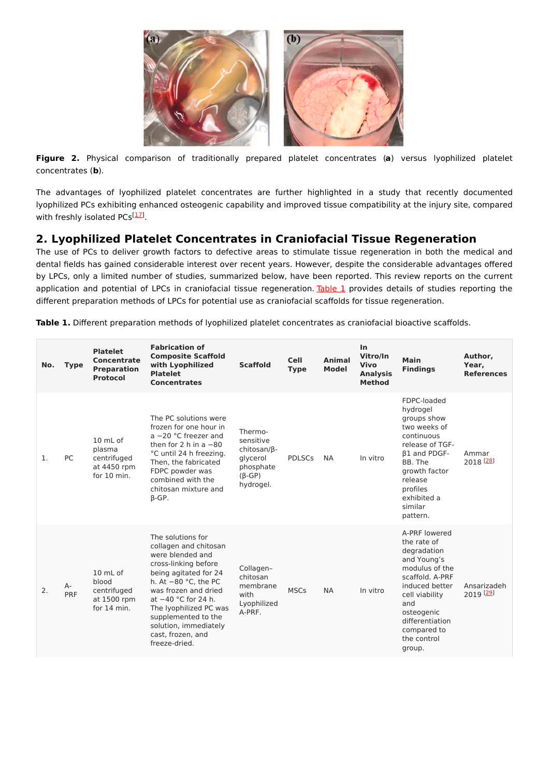

**Figure 2.** Physical comparison of traditionally prepared platelet concentrates (**a**) versus lyophilized platelet concentrates (**b**).

The advantages of lyophilized platelet concentrates are further highlighted in a study that recently documented lyophilized PCs exhibiting enhanced osteogenic capability and improved tissue compatibility at the injury site, compared with freshly isolated PCs<sup>[[17](#page-6-9)]</sup>.

# **2. Lyophilized Platelet Concentrates in Craniofacial Tissue Regeneration**

The use of PCs to deliver growth factors to defective areas to stimulate tissue regeneration in both the medical and dental fields has gained considerable interest over recent years. However, despite the considerable advantages offered by LPCs, only a limited number of studies, summarized below, have been reported. This review reports on the current application and potential of LPCs in craniofacial tissue regeneration. [Table](https://www.mdpi.com/1420-3049/26/3/517/htm#table_body_display_molecules-26-00517-t001) 1 provides details of studies reporting the different preparation methods of LPCs for potential use as craniofacial scaffolds for tissue regeneration.

| No. | <b>Type</b> | <b>Platelet</b><br><b>Concentrate</b><br><b>Preparation</b><br><b>Protocol</b> | <b>Fabrication of</b><br><b>Composite Scaffold</b><br>with Lyophilized<br><b>Platelet</b><br><b>Concentrates</b>                                                                                                                                                                                           | <b>Scaffold</b>                                                                            | <b>Cell</b><br><b>Type</b> | <b>Animal</b><br><b>Model</b> | In<br>Vitro/In<br>Vivo<br><b>Analysis</b><br><b>Method</b> | Main<br><b>Findings</b>                                                                                                                                                                                             | Author,<br>Year,<br><b>References</b> |
|-----|-------------|--------------------------------------------------------------------------------|------------------------------------------------------------------------------------------------------------------------------------------------------------------------------------------------------------------------------------------------------------------------------------------------------------|--------------------------------------------------------------------------------------------|----------------------------|-------------------------------|------------------------------------------------------------|---------------------------------------------------------------------------------------------------------------------------------------------------------------------------------------------------------------------|---------------------------------------|
| 1.  | PC          | $10 \text{ mL of}$<br>plasma<br>centrifuged<br>at 4450 rpm<br>for 10 min.      | The PC solutions were<br>frozen for one hour in<br>$a - 20$ °C freezer and<br>then for $2 h$ in a $-80$<br>°C until 24 h freezing.<br>Then, the fabricated<br>FDPC powder was<br>combined with the<br>chitosan mixture and<br>$\beta$ -GP.                                                                 | Thermo-<br>sensitive<br>chitosan/ß-<br>glycerol<br>phosphate<br>$(\beta$ -GP)<br>hydrogel. | <b>PDLSCs</b>              | <b>NA</b>                     | In vitro                                                   | FDPC-loaded<br>hydrogel<br>groups show<br>two weeks of<br>continuous<br>release of TGF-<br><b>B1 and PDGF-</b><br>BB. The<br>growth factor<br>release<br>profiles<br>exhibited a<br>similar<br>pattern.             | Ammar<br>2018 <sup>[28]</sup>         |
| 2.  | A-<br>PRF   | 10 mL of<br>blood<br>centrifuged<br>at 1500 rpm<br>for 14 min.                 | The solutions for<br>collagen and chitosan<br>were blended and<br>cross-linking before<br>being agitated for 24<br>h. At $-80$ °C, the PC<br>was frozen and dried<br>at $-40$ °C for 24 h.<br>The Iyophilized PC was<br>supplemented to the<br>solution, immediately<br>cast, frozen, and<br>freeze-dried. | Collagen-<br>chitosan<br>membrane<br>with<br>Lyophilized<br>A-PRF.                         | <b>MSCs</b>                | <b>NA</b>                     | In vitro                                                   | A-PRF lowered<br>the rate of<br>degradation<br>and Young's<br>modulus of the<br>scaffold. A-PRF<br>induced better<br>cell viability<br>and<br>osteogenic<br>differentiation<br>compared to<br>the control<br>group. | Ansarizadeh<br>2019 [29]              |

**Table 1.** Different preparation methods of lyophilized platelet concentrates as craniofacial bioactive scaffolds.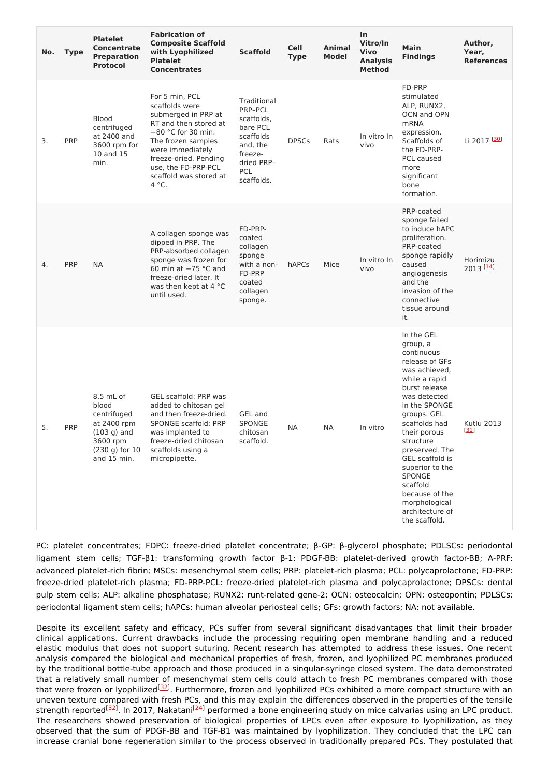| No. | <b>Type</b> | <b>Platelet</b><br><b>Concentrate</b><br><b>Preparation</b><br><b>Protocol</b>                                 | <b>Fabrication of</b><br><b>Composite Scaffold</b><br>with Lyophilized<br><b>Platelet</b><br><b>Concentrates</b>                                                                                                                      | <b>Scaffold</b>                                                                                                         | <b>Cell</b><br><b>Type</b> | Animal<br>Model | In<br>Vitro/In<br><b>Vivo</b><br><b>Analysis</b><br><b>Method</b> | <b>Main</b><br><b>Findings</b>                                                                                                                                                                                                                                                                                                                                      | Author,<br>Year,<br><b>References</b> |
|-----|-------------|----------------------------------------------------------------------------------------------------------------|---------------------------------------------------------------------------------------------------------------------------------------------------------------------------------------------------------------------------------------|-------------------------------------------------------------------------------------------------------------------------|----------------------------|-----------------|-------------------------------------------------------------------|---------------------------------------------------------------------------------------------------------------------------------------------------------------------------------------------------------------------------------------------------------------------------------------------------------------------------------------------------------------------|---------------------------------------|
| 3.  | PRP         | <b>Blood</b><br>centrifuged<br>at 2400 and<br>3600 rpm for<br>10 and 15<br>min.                                | For 5 min, PCL<br>scaffolds were<br>submerged in PRP at<br>RT and then stored at<br>$-80$ °C for 30 min.<br>The frozen samples<br>were immediately<br>freeze-dried. Pending<br>use, the FD-PRP-PCL<br>scaffold was stored at<br>4 °C. | Traditional<br>PRP-PCL<br>scaffolds,<br>bare PCL<br>scaffolds<br>and, the<br>freeze-<br>dried PRP-<br>PCL<br>scaffolds. | <b>DPSCs</b>               | Rats            | In vitro In<br>vivo                                               | FD-PRP<br>stimulated<br>ALP, RUNX2,<br>OCN and OPN<br><b>mRNA</b><br>expression.<br>Scaffolds of<br>the FD-PRP-<br>PCL caused<br>more<br>significant<br>bone<br>formation.                                                                                                                                                                                          | Li 2017 [30]                          |
| 4.  | <b>PRP</b>  | <b>NA</b>                                                                                                      | A collagen sponge was<br>dipped in PRP. The<br>PRP-absorbed collagen<br>sponge was frozen for<br>60 min at $-75$ °C and<br>freeze-dried later. It<br>was then kept at 4 °C<br>until used.                                             | FD-PRP-<br>coated<br>collagen<br>sponge<br>with a non-<br>FD-PRP<br>coated<br>collagen<br>sponge.                       | hAPCs                      | Mice            | In vitro In<br>vivo                                               | PRP-coated<br>sponge failed<br>to induce hAPC<br>proliferation.<br>PRP-coated<br>sponge rapidly<br>caused<br>angiogenesis<br>and the<br>invasion of the<br>connective<br>tissue around<br>it.                                                                                                                                                                       | Horimizu<br>$2013$ [14]               |
| 5.  | PRP         | 8.5 mL of<br>blood<br>centrifuged<br>at 2400 rpm<br>$(103 g)$ and<br>3600 rpm<br>(230 g) for 10<br>and 15 min. | <b>GEL scaffold: PRP was</b><br>added to chitosan gel<br>and then freeze-dried.<br>SPONGE scaffold: PRP<br>was implanted to<br>freeze-dried chitosan<br>scaffolds using a<br>micropipette.                                            | GEL and<br>SPONGE<br>chitosan<br>scaffold.                                                                              | <b>NA</b>                  | <b>NA</b>       | In vitro                                                          | In the GEL<br>group, a<br>continuous<br>release of GFs<br>was achieved,<br>while a rapid<br>burst release<br>was detected<br>in the SPONGE<br>groups. GEL<br>scaffolds had<br>their porous<br>structure<br>preserved. The<br>GEL scaffold is<br>superior to the<br><b>SPONGE</b><br>scaffold<br>because of the<br>morphological<br>architecture of<br>the scaffold. | Kutlu 2013<br>$[31]$                  |

PC: platelet concentrates; FDPC: freeze-dried platelet concentrate; β-GP: β-glycerol phosphate; PDLSCs: periodontal ligament stem cells; TGF-β1: transforming growth factor β-1; PDGF-BB: platelet-derived growth factor-BB; A-PRF: advanced platelet-rich fibrin; MSCs: mesenchymal stem cells; PRP: platelet-rich plasma; PCL: polycaprolactone; FD-PRP: freeze-dried platelet-rich plasma; FD-PRP-PCL: freeze-dried platelet-rich plasma and polycaprolactone; DPSCs: dental pulp stem cells; ALP: alkaline phosphatase; RUNX2: runt-related gene-2; OCN: osteocalcin; OPN: osteopontin; PDLSCs: periodontal ligament stem cells; hAPCs: human alveolar periosteal cells; GFs: growth factors; NA: not available.

Despite its excellent safety and efficacy, PCs suffer from several significant disadvantages that limit their broader clinical applications. Current drawbacks include the processing requiring open membrane handling and a reduced elastic modulus that does not support suturing. Recent research has attempted to address these issues. One recent analysis compared the biological and mechanical properties of fresh, frozen, and lyophilized PC membranes produced by the traditional bottle-tube approach and those produced in a singular-syringe closed system. The data demonstrated that a relatively small number of mesenchymal stem cells could attach to fresh PC membranes compared with those that were frozen or lyophilized<sup>[\[32](#page-6-15)]</sup>. Furthermore, frozen and lyophilized PCs exhibited a more compact structure with an uneven texture compared with fresh PCs, and this may explain the differences observed in the properties of the tensile strength reported<sup>[\[32](#page-6-15)]</sup>. In 2017, Nakatani<sup>[\[24](#page-6-4)]</sup> performed a bone engineering study on mice calvarias using an LPC product. The researchers showed preservation of biological properties of LPCs even after exposure to lyophilization, as they observed that the sum of PDGF-BB and TGF-B1 was maintained by lyophilization. They concluded that the LPC can increase cranial bone regeneration similar to the process observed in traditionally prepared PCs. They postulated that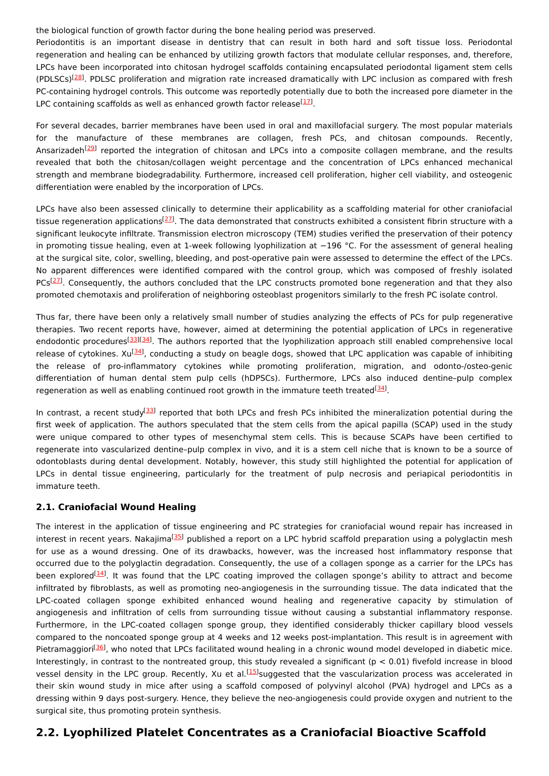the biological function of growth factor during the bone healing period was preserved.

Periodontitis is an important disease in dentistry that can result in both hard and soft tissue loss. Periodontal regeneration and healing can be enhanced by utilizing growth factors that modulate cellular responses, and, therefore, LPCs have been incorporated into chitosan hydrogel scaffolds containing encapsulated periodontal ligament stem cells (PDLSCs)<sup>[\[28](#page-6-10)]</sup>. PDLSC proliferation and migration rate increased dramatically with LPC inclusion as compared with fresh PC-containing hydrogel controls. This outcome was reportedly potentially due to both the increased pore diameter in the LPC containing scaffolds as well as enhanced growth factor release $[17]$  $[17]$ .

For several decades, barrier membranes have been used in oral and maxillofacial surgery. The most popular materials for the manufacture of these membranes are collagen, fresh PCs, and chitosan compounds. Recently, Ansarizadeh<sup>[\[29](#page-6-11)]</sup> reported the integration of chitosan and LPCs into a composite collagen membrane, and the results revealed that both the chitosan/collagen weight percentage and the concentration of LPCs enhanced mechanical strength and membrane biodegradability. Furthermore, increased cell proliferation, higher cell viability, and osteogenic differentiation were enabled by the incorporation of LPCs.

LPCs have also been assessed clinically to determine their applicability as a scaffolding material for other craniofacial tissue regeneration applications<sup>[\[27](#page-6-7)]</sup>. The data demonstrated that constructs exhibited a consistent fibrin structure with a significant leukocyte infiltrate. Transmission electron microscopy (TEM) studies verified the preservation of their potency in promoting tissue healing, even at 1-week following lyophilization at −196 °C. For the assessment of general healing at the surgical site, color, swelling, bleeding, and post-operative pain were assessed to determine the effect of the LPCs. No apparent differences were identified compared with the control group, which was composed of freshly isolated PCs<sup>[\[27](#page-6-7)]</sup>. Consequently, the authors concluded that the LPC constructs promoted bone regeneration and that they also promoted chemotaxis and proliferation of neighboring osteoblast progenitors similarly to the fresh PC isolate control.

Thus far, there have been only a relatively small number of studies analyzing the effects of PCs for pulp regenerative therapies. Two recent reports have, however, aimed at determining the potential application of LPCs in regenerative endodontic procedures<sup>[\[33](#page-6-16)][[34](#page-6-17)]</sup>. The authors reported that the lyophilization approach still enabled comprehensive local release of cytokines. Xu<sup>[[34](#page-6-17)]</sup>, conducting a study on beagle dogs, showed that LPC application was capable of inhibiting the release of pro-inflammatory cytokines while promoting proliferation, migration, and odonto-/osteo-genic differentiation of human dental stem pulp cells (hDPSCs). Furthermore, LPCs also induced dentine–pulp complex regeneration as well as enabling continued root growth in the immature teeth treated<sup>[[34](#page-6-17)]</sup>.

In contrast, a recent study<sup>[\[33](#page-6-16)]</sup> reported that both LPCs and fresh PCs inhibited the mineralization potential during the first week of application. The authors speculated that the stem cells from the apical papilla (SCAP) used in the study were unique compared to other types of mesenchymal stem cells. This is because SCAPs have been certified to regenerate into vascularized dentine–pulp complex in vivo, and it is a stem cell niche that is known to be a source of odontoblasts during dental development. Notably, however, this study still highlighted the potential for application of LPCs in dental tissue engineering, particularly for the treatment of pulp necrosis and periapical periodontitis in immature teeth.

### **2.1. Craniofacial Wound Healing**

The interest in the application of tissue engineering and PC strategies for craniofacial wound repair has increased in interest in recent years. Nakajima<sup>[\[35](#page-7-0)]</sup> published a report on a LPC hybrid scaffold preparation using a polyglactin mesh for use as a wound dressing. One of its drawbacks, however, was the increased host inflammatory response that occurred due to the polyglactin degradation. Consequently, the use of a collagen sponge as a carrier for the LPCs has been explored  $[14]$  $[14]$ . It was found that the LPC coating improved the collagen sponge's ability to attract and become infiltrated by fibroblasts, as well as promoting neo-angiogenesis in the surrounding tissue. The data indicated that the LPC-coated collagen sponge exhibited enhanced wound healing and regenerative capacity by stimulation of angiogenesis and infiltration of cells from surrounding tissue without causing a substantial inflammatory response. Furthermore, in the LPC-coated collagen sponge group, they identified considerably thicker capillary blood vessels compared to the noncoated sponge group at 4 weeks and 12 weeks post-implantation. This result is in agreement with Pietramaggiori<sup>[[36](#page-7-1)]</sup>, who noted that LPCs facilitated wound healing in a chronic wound model developed in diabetic mice. Interestingly, in contrast to the nontreated group, this study revealed a significant ( $p < 0.01$ ) fivefold increase in blood vessel density in the LPC group. Recently, Xu et al.<sup>[\[15](#page-6-18)]</sup>suggested that the vascularization process was accelerated in their skin wound study in mice after using a scaffold composed of polyvinyl alcohol (PVA) hydrogel and LPCs as a dressing within 9 days post-surgery. Hence, they believe the neo-angiogenesis could provide oxygen and nutrient to the surgical site, thus promoting protein synthesis.

### **2.2. Lyophilized Platelet Concentrates as a Craniofacial Bioactive Scaffold**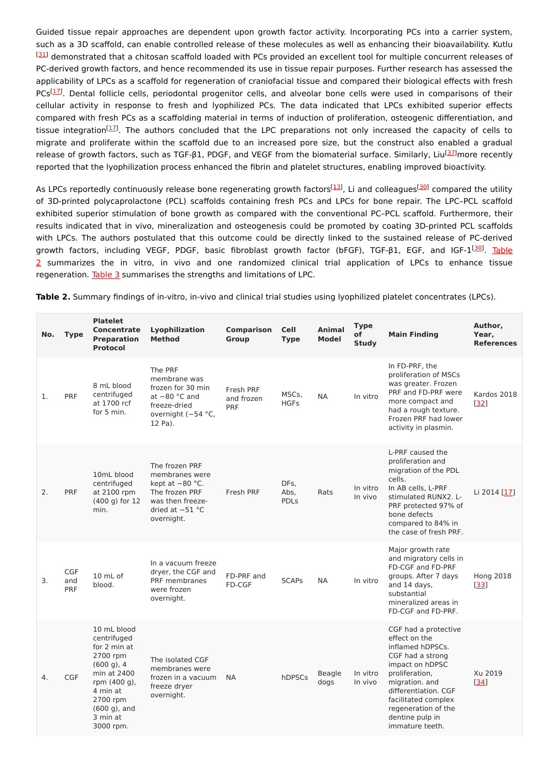Guided tissue repair approaches are dependent upon growth factor activity. Incorporating PCs into a carrier system, such as a 3D scaffold, can enable controlled release of these molecules as well as enhancing their bioavailability. Kutlu [\[31](#page-6-14)] demonstrated that a chitosan scaffold loaded with PCs provided an excellent tool for multiple concurrent releases of PC-derived growth factors, and hence recommended its use in tissue repair purposes. Further research has assessed the applicability of LPCs as a scaffold for regeneration of craniofacial tissue and compared their biological effects with fresh PCs<sup>[\[17](#page-6-9)]</sup>. Dental follicle cells, periodontal progenitor cells, and alveolar bone cells were used in comparisons of their cellular activity in response to fresh and lyophilized PCs. The data indicated that LPCs exhibited superior effects compared with fresh PCs as a scaffolding material in terms of induction of proliferation, osteogenic differentiation, and tissue integration<sup>[[17](#page-6-9)]</sup>. The authors concluded that the LPC preparations not only increased the capacity of cells to migrate and proliferate within the scaffold due to an increased pore size, but the construct also enabled a gradual release of growth factors, such as TGF-β1, PDGF, and VEGF from the biomaterial surface. Similarly, Liu<sup>[\[37](#page-7-2)]</sup>more recently reported that the lyophilization process enhanced the fibrin and platelet structures, enabling improved bioactivity.

As LPCs reportedly continuously release bone regenerating growth factors<sup>[[13](#page-6-8)]</sup>, Li and colleagues<sup>[\[30](#page-6-12)]</sup> compared the utility of 3D-printed polycaprolactone (PCL) scaffolds containing fresh PCs and LPCs for bone repair. The LPC–PCL scaffold exhibited superior stimulation of bone growth as compared with the conventional PC–PCL scaffold. Furthermore, their results indicated that in vivo, mineralization and osteogenesis could be promoted by coating 3D-printed PCL scaffolds with LPCs. The authors postulated that this outcome could be directly linked to the sustained release of PC-derived growth factors, including VEGF, PDGF, basic fibroblast growth factor (bFGF), TGF-β1, EGF, and IGF-1<sup>[[30](#page-6-12)]</sup>. Table 2 [summarizes](https://www.mdpi.com/1420-3049/26/3/517/htm#table_body_display_molecules-26-00517-t002) the in vitro, in vivo and one randomized clinical trial application of LPCs to enhance tissue regeneration. [Table](https://www.mdpi.com/1420-3049/26/3/517/htm#table_body_display_molecules-26-00517-t003) 3 summarises the strengths and limitations of LPC.

**Table 2.** Summary findings of in-vitro, in-vivo and clinical trial studies using lyophilized platelet concentrates (LPCs).

| No. | <b>Type</b>              | <b>Platelet</b><br><b>Concentrate</b><br><b>Preparation</b><br><b>Protocol</b>                                                                                           | Lyophilization<br><b>Method</b>                                                                                                | <b>Comparison</b><br>Group     | <b>Cell</b><br><b>Type</b>  | <b>Animal</b><br><b>Model</b> | <b>Type</b><br>οf<br><b>Study</b> | <b>Main Finding</b>                                                                                                                                                                                                                              | Author,<br>Year,<br><b>References</b> |
|-----|--------------------------|--------------------------------------------------------------------------------------------------------------------------------------------------------------------------|--------------------------------------------------------------------------------------------------------------------------------|--------------------------------|-----------------------------|-------------------------------|-----------------------------------|--------------------------------------------------------------------------------------------------------------------------------------------------------------------------------------------------------------------------------------------------|---------------------------------------|
| 1.  | PRF                      | 8 mL blood<br>centrifuged<br>at 1700 rcf<br>for 5 min.                                                                                                                   | The PRF<br>membrane was<br>frozen for 30 min<br>at $-80$ $°C$ and<br>freeze-dried<br>overnight (-54 °C,<br>12 Pa).             | Fresh PRF<br>and frozen<br>PRF | MSCs,<br><b>HGFs</b>        | <b>NA</b>                     | In vitro                          | In FD-PRF, the<br>proliferation of MSCs<br>was greater. Frozen<br>PRF and FD-PRF were<br>more compact and<br>had a rough texture.<br>Frozen PRF had lower<br>activity in plasmin.                                                                | Kardos 2018<br>[32]                   |
| 2.  | PRF                      | 10mL blood<br>centrifuged<br>at 2100 rpm<br>$(400 g)$ for 12<br>min.                                                                                                     | The frozen PRF<br>membranes were<br>kept at $-80$ °C.<br>The frozen PRF<br>was then freeze-<br>dried at $-51$ °C<br>overnight. | Fresh PRF                      | DFs,<br>Abs,<br><b>PDLs</b> | Rats                          | In vitro<br>In vivo               | L-PRF caused the<br>proliferation and<br>migration of the PDL<br>cells.<br>In AB cells, L-PRF<br>stimulated RUNX2. L-<br>PRF protected 97% of<br>bone defects<br>compared to 84% in<br>the case of fresh PRF.                                    | Li 2014 [17]                          |
| 3.  | <b>CGF</b><br>and<br>PRF | $10 \text{ mL of}$<br>blood.                                                                                                                                             | In a vacuum freeze<br>dryer, the CGF and<br>PRF membranes<br>were frozen<br>overnight.                                         | FD-PRF and<br><b>FD-CGF</b>    | <b>SCAPs</b>                | <b>NA</b>                     | In vitro                          | Major growth rate<br>and migratory cells in<br>FD-CGF and FD-PRF<br>groups. After 7 days<br>and 14 days,<br>substantial<br>mineralized areas in<br>FD-CGF and FD-PRF.                                                                            | <b>Hong 2018</b><br>$[33]$            |
| 4.  | <b>CGF</b>               | 10 mL blood<br>centrifuged<br>for 2 min at<br>2700 rpm<br>$(600q)$ , 4<br>min at 2400<br>rpm (400 g),<br>4 min at<br>2700 rpm<br>$(600q)$ , and<br>3 min at<br>3000 rpm. | The isolated CGF<br>membranes were<br>frozen in a vacuum<br>freeze dryer<br>overnight.                                         | <b>NA</b>                      | hDPSCs                      | <b>Beagle</b><br>dogs         | In vitro<br>In vivo               | CGF had a protective<br>effect on the<br>inflamed hDPSCs.<br>CGF had a strong<br>impact on hDPSC<br>proliferation,<br>migration. and<br>differentiation. CGF<br>facilitated complex<br>regeneration of the<br>dentine pulp in<br>immature teeth. | Xu 2019<br>$[34]$                     |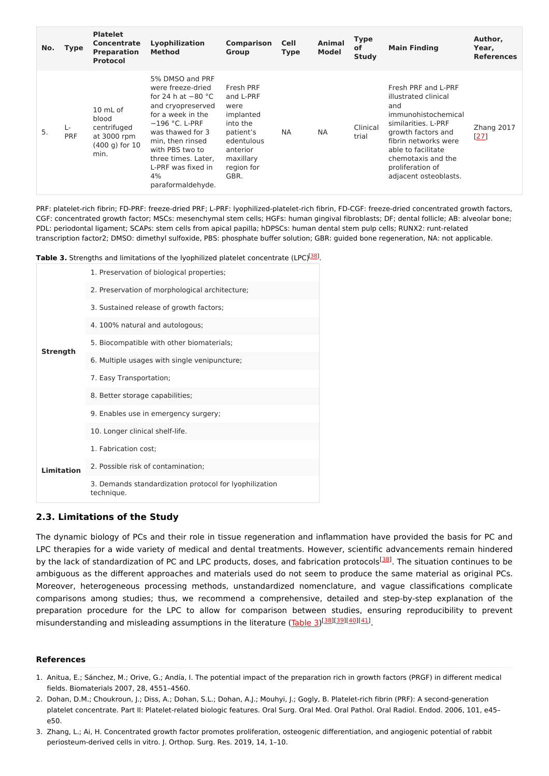| No. | Type             | <b>Platelet</b><br><b>Concentrate</b><br><b>Preparation</b><br>Protocol       | Lyophilization<br><b>Method</b>                                                                                                                                                                                                                               | <b>Comparison</b><br>Group                                                                                                        | <b>Cell</b><br><b>Type</b> | Animal<br><b>Model</b> | <b>Type</b><br>οf<br><b>Study</b> | <b>Main Finding</b>                                                                                                                                                                                                                     | Author,<br>Year,<br><b>References</b> |
|-----|------------------|-------------------------------------------------------------------------------|---------------------------------------------------------------------------------------------------------------------------------------------------------------------------------------------------------------------------------------------------------------|-----------------------------------------------------------------------------------------------------------------------------------|----------------------------|------------------------|-----------------------------------|-----------------------------------------------------------------------------------------------------------------------------------------------------------------------------------------------------------------------------------------|---------------------------------------|
| 5.  | Ŀ.<br><b>PRF</b> | 10 mL of<br>blood<br>centrifuged<br>at 3000 rpm<br>$(400 q)$ for $10$<br>min. | 5% DMSO and PRF<br>were freeze-dried<br>for 24 h at $-80$ °C<br>and cryopreserved<br>for a week in the<br>$-196$ °C. L-PRF<br>was thawed for 3<br>min, then rinsed<br>with PBS two to<br>three times. Later,<br>L-PRF was fixed in<br>4%<br>paraformaldehyde. | Fresh PRF<br>and L-PRF<br>were<br>implanted<br>into the<br>patient's<br>edentulous<br>anterior<br>maxillary<br>region for<br>GBR. | <b>NA</b>                  | <b>NA</b>              | Clinical<br>trial                 | Fresh PRF and L-PRF<br>illustrated clinical<br>and<br>immunohistochemical<br>similarities. L-PRF<br>growth factors and<br>fibrin networks were<br>able to facilitate<br>chemotaxis and the<br>proliferation of<br>adjacent osteoblasts. | Zhang 2017<br>[27]                    |

PRF: platelet-rich fibrin; FD-PRF: freeze-dried PRF; L-PRF: lyophilized-platelet-rich fibrin, FD-CGF: freeze-dried concentrated growth factors, CGF: concentrated growth factor; MSCs: mesenchymal stem cells; HGFs: human gingival fibroblasts; DF; dental follicle; AB: alveolar bone; PDL: periodontal ligament; SCAPs: stem cells from apical papilla; hDPSCs: human dental stem pulp cells; RUNX2: runt-related transcription factor2; DMSO: dimethyl sulfoxide, PBS: phosphate buffer solution; GBR: guided bone regeneration, NA: not applicable.

**Table 3.** Strengths and limitations of the lyophilized platelet concentrate (LPC)<sup>[\[38](#page-7-3)]</sup>.

|                   | 1. Preservation of biological properties;                            |
|-------------------|----------------------------------------------------------------------|
|                   | 2. Preservation of morphological architecture;                       |
|                   | 3. Sustained release of growth factors;                              |
|                   | 4. 100% natural and autologous;                                      |
| <b>Strength</b>   | 5. Biocompatible with other biomaterials;                            |
|                   | 6. Multiple usages with single venipuncture;                         |
|                   | 7. Easy Transportation;                                              |
|                   | 8. Better storage capabilities;                                      |
|                   | 9. Enables use in emergency surgery;                                 |
|                   | 10. Longer clinical shelf-life.                                      |
|                   | 1. Fabrication cost;                                                 |
| <b>Limitation</b> | 2. Possible risk of contamination;                                   |
|                   | 3. Demands standardization protocol for lyophilization<br>technique. |

### **2.3. Limitations of the Study**

The dynamic biology of PCs and their role in tissue regeneration and inflammation have provided the basis for PC and LPC therapies for a wide variety of medical and dental treatments. However, scientific advancements remain hindered by the lack of standardization of PC and LPC products, doses, and fabrication protocols<sup>[[38](#page-7-3)]</sup>. The situation continues to be ambiguous as the different approaches and materials used do not seem to produce the same material as original PCs. Moreover, heterogeneous processing methods, unstandardized nomenclature, and vague classifications complicate comparisons among studies; thus, we recommend a comprehensive, detailed and step-by-step explanation of the preparation procedure for the LPC to allow for comparison between studies, ensuring reproducibility to prevent misunderstanding and misleading assumptions in the literature [\(Table](https://www.mdpi.com/1420-3049/26/3/517/htm#table_body_display_molecules-26-00517-t003) 3)<sup>[\[38](#page-7-3)][\[39](#page-7-4)][\[40](#page-7-5)][\[41](#page-7-6)]</sup>.

#### **References**

- 1. Anitua, E.; Sánchez, M.; Orive, G.; Andía, I. The potential impact of the preparation rich in growth factors (PRGF) in different medical fields. Biomaterials 2007, 28, 4551–4560.
- 2. Dohan, D.M.; Choukroun, J.; Diss, A.; Dohan, S.L.; Dohan, A.J.; Mouhyi, J.; Gogly, B. Platelet-rich fibrin (PRF): A second-generation platelet concentrate. Part II: Platelet-related biologic features. Oral Surg. Oral Med. Oral Pathol. Oral Radiol. Endod. 2006, 101, e45– e50.
- 3. Zhang, L.; Ai, H. Concentrated growth factor promotes proliferation, osteogenic differentiation, and angiogenic potential of rabbit periosteum-derived cells in vitro. J. Orthop. Surg. Res. 2019, 14, 1–10.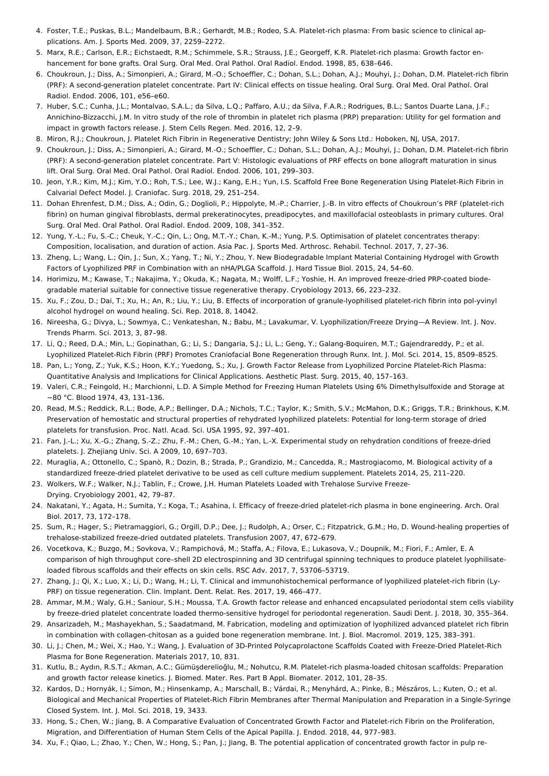- 4. Foster, T.E.; Puskas, B.L.; Mandelbaum, B.R.; Gerhardt, M.B.; Rodeo, S.A. Platelet-rich plasma: From basic science to clinical applications. Am. J. Sports Med. 2009, 37, 2259–2272.
- 5. Marx, R.E.; Carlson, E.R.; Eichstaedt, R.M.; Schimmele, S.R.; Strauss, J.E.; Georgeff, K.R. Platelet-rich plasma: Growth factor enhancement for bone grafts. Oral Surg. Oral Med. Oral Pathol. Oral Radiol. Endod. 1998, 85, 638–646.
- 6. Choukroun, J.; Diss, A.; Simonpieri, A.; Girard, M.-O.; Schoeffler, C.; Dohan, S.L.; Dohan, A.J.; Mouhyi, J.; Dohan, D.M. Platelet-rich fibrin (PRF): A second-generation platelet concentrate. Part IV: Clinical effects on tissue healing. Oral Surg. Oral Med. Oral Pathol. Oral Radiol. Endod. 2006, 101, e56–e60.
- 7. Huber, S.C.; Cunha, J.L.; Montalvao, S.A.L.; da Silva, L.Q.; Paffaro, A.U.; da Silva, F.A.R.; Rodrigues, B.L.; Santos Duarte Lana, J.F.; Annichino-Bizzacchi, J.M. In vitro study of the role of thrombin in platelet rich plasma (PRP) preparation: Utility for gel formation and impact in growth factors release. J. Stem Cells Regen. Med. 2016, 12, 2–9.
- 8. Miron, R.J.; Choukroun, J. Platelet Rich Fibrin in Regenerative Dentistry; John Wiley & Sons Ltd.: Hoboken, NJ, USA, 2017.
- 9. Choukroun, J.; Diss, A.; Simonpieri, A.; Girard, M.-O.; Schoeffler, C.; Dohan, S.L.; Dohan, A.J.; Mouhyi, J.; Dohan, D.M. Platelet-rich fibrin (PRF): A second-generation platelet concentrate. Part V: Histologic evaluations of PRF effects on bone allograft maturation in sinus lift. Oral Surg. Oral Med. Oral Pathol. Oral Radiol. Endod. 2006, 101, 299–303.
- 10. Jeon, Y.R.; Kim, M.J.; Kim, Y.O.; Roh, T.S.; Lee, W.J.; Kang, E.H.; Yun, I.S. Scaffold Free Bone Regeneration Using Platelet-Rich Fibrin in Calvarial Defect Model. J. Craniofac. Surg. 2018, 29, 251–254.
- 11. Dohan Ehrenfest, D.M.; Diss, A.; Odin, G.; Doglioli, P.; Hippolyte, M.-P.; Charrier, J.-B. In vitro effects of Choukroun's PRF (platelet-rich fibrin) on human gingival fibroblasts, dermal prekeratinocytes, preadipocytes, and maxillofacial osteoblasts in primary cultures. Oral Surg. Oral Med. Oral Pathol. Oral Radiol. Endod. 2009, 108, 341–352.
- 12. Yung, Y.-L.; Fu, S.-C.; Cheuk, Y.-C.; Qin, L.; Ong, M.T.-Y.; Chan, K.-M.; Yung, P.S. Optimisation of platelet concentrates therapy: Composition, localisation, and duration of action. Asia Pac. J. Sports Med. Arthrosc. Rehabil. Technol. 2017, 7, 27–36.
- <span id="page-6-8"></span>13. Zheng, L.; Wang, L.; Qin, J.; Sun, X.; Yang, T.; Ni, Y.; Zhou, Y. New Biodegradable Implant Material Containing Hydrogel with Growth Factors of Lyophilized PRF in Combination with an nHA/PLGA Scaffold. J. Hard Tissue Biol. 2015, 24, 54–60.
- <span id="page-6-13"></span>14. Horimizu, M.; Kawase, T.; Nakajima, Y.; Okuda, K.; Nagata, M.; Wolff, L.F.; Yoshie, H. An improved freeze-dried PRP-coated biodegradable material suitable for connective tissue regenerative therapy. Cryobiology 2013, 66, 223–232.
- <span id="page-6-18"></span>15. Xu, F.; Zou, D.; Dai, T.; Xu, H.; An, R.; Liu, Y.; Liu, B. Effects of incorporation of granule-lyophilised platelet-rich fibrin into pol-yvinyl alcohol hydrogel on wound healing. Sci. Rep. 2018, 8, 14042.
- <span id="page-6-0"></span>16. Nireesha, G.; Divya, L.; Sowmya, C.; Venkateshan, N.; Babu, M.; Lavakumar, V. Lyophilization/Freeze Drying—A Review. Int. J. Nov. Trends Pharm. Sci. 2013, 3, 87–98.
- <span id="page-6-9"></span>17. Li, Q.; Reed, D.A.; Min, L.; Gopinathan, G.; Li, S.; Dangaria, S.J.; Li, L.; Geng, Y.; Galang-Boquiren, M.T.; Gajendrareddy, P.; et al. Lyophilized Platelet-Rich Fibrin (PRF) Promotes Craniofacial Bone Regeneration through Runx. Int. J. Mol. Sci. 2014, 15, 8509–8525.
- 18. Pan, L.; Yong, Z.; Yuk, K.S.; Hoon, K.Y.; Yuedong, S.; Xu, J. Growth Factor Release from Lyophilized Porcine Platelet-Rich Plasma: Quantitative Analysis and Implications for Clinical Applications. Aesthetic Plast. Surg. 2015, 40, 157–163.
- 19. Valeri, C.R.; Feingold, H.; Marchionni, L.D. A Simple Method for Freezing Human Platelets Using 6% Dimethylsulfoxide and Storage at −80 °C. Blood 1974, 43, 131–136.
- 20. Read, M.S.; Reddick, R.L.; Bode, A.P.; Bellinger, D.A.; Nichols, T.C.; Taylor, K.; Smith, S.V.; McMahon, D.K.; Griggs, T.R.; Brinkhous, K.M. Preservation of hemostatic and structural properties of rehydrated lyophilized platelets: Potential for long-term storage of dried platelets for transfusion. Proc. Natl. Acad. Sci. USA 1995, 92, 397–401.
- <span id="page-6-1"></span>21. Fan, J.-L.; Xu, X.-G.; Zhang, S.-Z.; Zhu, F.-M.; Chen, G.-M.; Yan, L.-X. Experimental study on rehydration conditions of freeze-dried platelets. J. Zhejiang Univ. Sci. A 2009, 10, 697–703.
- <span id="page-6-2"></span>22. Muraglia, A.; Ottonello, C.; Spanò, R.; Dozin, B.; Strada, P.; Grandizio, M.; Cancedda, R.; Mastrogiacomo, M. Biological activity of a standardized freeze-dried platelet derivative to be used as cell culture medium supplement. Platelets 2014, 25, 211–220.
- <span id="page-6-3"></span>23. Wolkers, W.F.; Walker, N.J.; Tablin, F.; Crowe, J.H. Human Platelets Loaded with Trehalose Survive Freeze-Drying. Cryobiology 2001, 42, 79–87.
- <span id="page-6-4"></span>24. Nakatani, Y.; Agata, H.; Sumita, Y.; Koga, T.; Asahina, I. Efficacy of freeze-dried platelet-rich plasma in bone engineering. Arch. Oral Biol. 2017, 73, 172–178.
- <span id="page-6-5"></span>25. Sum, R.; Hager, S.; Pietramaggiori, G.; Orgill, D.P.; Dee, J.; Rudolph, A.; Orser, C.; Fitzpatrick, G.M.; Ho, D. Wound-healing properties of trehalose-stabilized freeze-dried outdated platelets. Transfusion 2007, 47, 672–679.
- <span id="page-6-6"></span>26. Vocetkova, K.; Buzgo, M.; Sovkova, V.; Rampichová, M.; Staffa, A.; Filova, E.; Lukasova, V.; Doupnik, M.; Fiori, F.; Amler, E. A comparison of high throughput core–shell 2D electrospinning and 3D centrifugal spinning techniques to produce platelet lyophilisateloaded fibrous scaffolds and their effects on skin cells. RSC Adv. 2017, 7, 53706–53719.
- <span id="page-6-7"></span>27. Zhang, J.; Qi, X.; Luo, X.; Li, D.; Wang, H.; Li, T. Clinical and immunohistochemical performance of lyophilized platelet-rich fibrin (Ly-PRF) on tissue regeneration. Clin. Implant. Dent. Relat. Res. 2017, 19, 466–477.
- <span id="page-6-10"></span>28. Ammar, M.M.; Waly, G.H.; Saniour, S.H.; Moussa, T.A. Growth factor release and enhanced encapsulated periodontal stem cells viability by freeze-dried platelet concentrate loaded thermo-sensitive hydrogel for periodontal regeneration. Saudi Dent. J. 2018, 30, 355–364.
- <span id="page-6-11"></span>29. Ansarizadeh, M.; Mashayekhan, S.; Saadatmand, M. Fabrication, modeling and optimization of lyophilized advanced platelet rich fibrin in combination with collagen-chitosan as a guided bone regeneration membrane. Int. J. Biol. Macromol. 2019, 125, 383–391.
- <span id="page-6-12"></span>30. Li, J.; Chen, M.; Wei, X.; Hao, Y.; Wang, J. Evaluation of 3D-Printed Polycaprolactone Scaffolds Coated with Freeze-Dried Platelet-Rich Plasma for Bone Regeneration. Materials 2017, 10, 831.
- <span id="page-6-14"></span>31. Kutlu, B.; Aydın, R.S.T.; Akman, A.C.; Gümüşderelioğlu, M.; Nohutcu, R.M. Platelet-rich plasma-loaded chitosan scaffolds: Preparation and growth factor release kinetics. J. Biomed. Mater. Res. Part B Appl. Biomater. 2012, 101, 28–35.
- <span id="page-6-15"></span>32. Kardos, D.; Hornyák, I.; Simon, M.; Hinsenkamp, A.; Marschall, B.; Várdai, R.; Menyhárd, A.; Pinke, B.; Mészáros, L.; Kuten, O.; et al. Biological and Mechanical Properties of Platelet-Rich Fibrin Membranes after Thermal Manipulation and Preparation in a Single-Syringe Closed System. Int. J. Mol. Sci. 2018, 19, 3433.
- <span id="page-6-16"></span>33. Hong, S.; Chen, W.; Jiang, B. A Comparative Evaluation of Concentrated Growth Factor and Platelet-rich Fibrin on the Proliferation, Migration, and Differentiation of Human Stem Cells of the Apical Papilla. J. Endod. 2018, 44, 977–983.
- <span id="page-6-17"></span>34. Xu, F.; Qiao, L.; Zhao, Y.; Chen, W.; Hong, S.; Pan, J.; Jiang, B. The potential application of concentrated growth factor in pulp re-